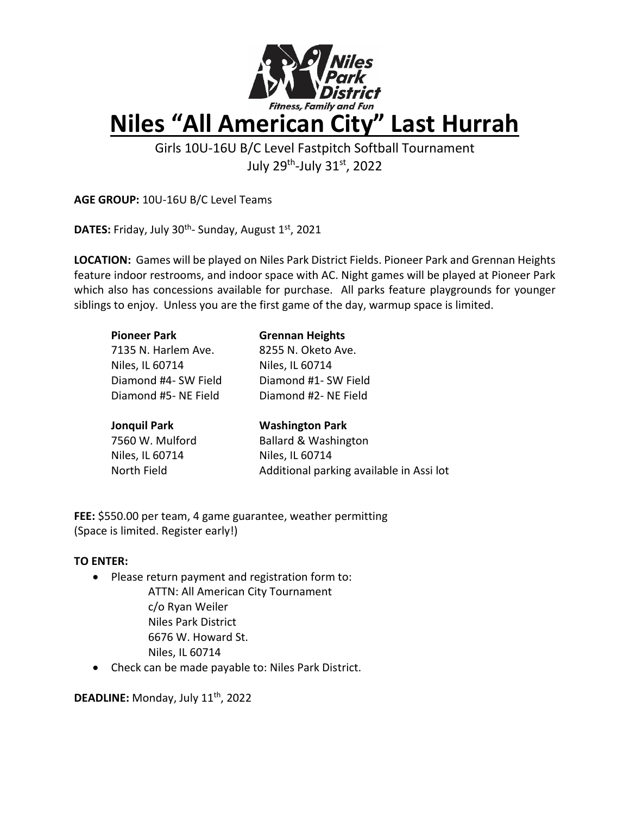

Girls 10U-16U B/C Level Fastpitch Softball Tournament July 29<sup>th</sup>-July 31<sup>st</sup>, 2022

**AGE GROUP:** 10U-16U B/C Level Teams

DATES: Friday, July 30<sup>th</sup>- Sunday, August 1st, 2021

**LOCATION:** Games will be played on Niles Park District Fields. Pioneer Park and Grennan Heights feature indoor restrooms, and indoor space with AC. Night games will be played at Pioneer Park which also has concessions available for purchase. All parks feature playgrounds for younger siblings to enjoy. Unless you are the first game of the day, warmup space is limited.

| <b>Pioneer Park</b>  | <b>Grennan Heights</b>          |
|----------------------|---------------------------------|
| 7135 N. Harlem Ave.  | 8255 N. Oketo Ave.              |
| Niles, IL 60714      | Niles, IL 60714                 |
| Diamond #4- SW Field | Diamond #1- SW Field            |
| Diamond #5- NE Field | Diamond #2- NE Field            |
|                      |                                 |
| <b>Jonquil Park</b>  | <b>Washington Park</b>          |
| 7560 W. Mulford      | <b>Ballard &amp; Washington</b> |
|                      |                                 |
| Niles, IL 60714      | Niles, IL 60714                 |

North Field **Additional parking available in Assi lot** 

**FEE:** \$550.00 per team, 4 game guarantee, weather permitting (Space is limited. Register early!)

# **TO ENTER:**

- Please return payment and registration form to:
	- ATTN: All American City Tournament c/o Ryan Weiler Niles Park District 6676 W. Howard St. Niles, IL 60714
- Check can be made payable to: Niles Park District.

**DEADLINE:** Monday, July 11th, 2022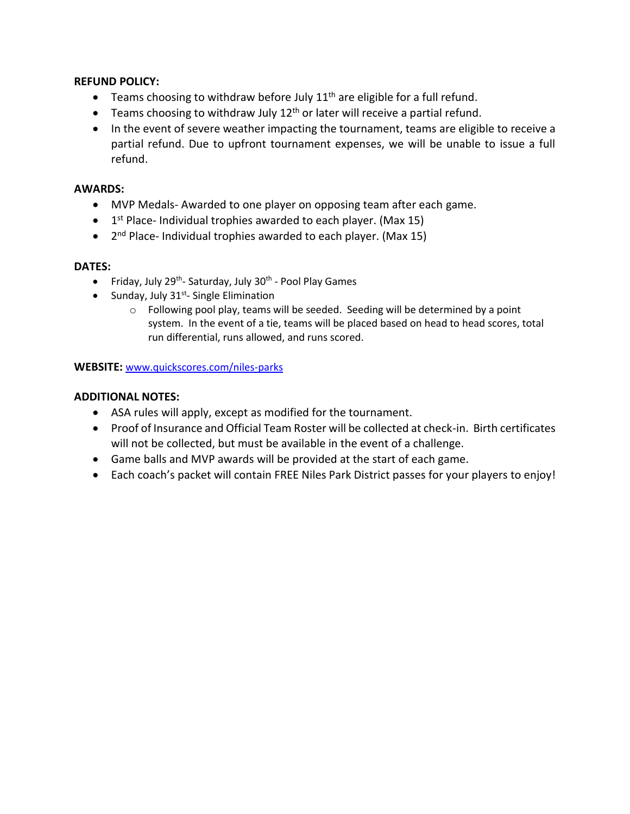# **REFUND POLICY:**

- Teams choosing to withdraw before July  $11<sup>th</sup>$  are eligible for a full refund.
- Teams choosing to withdraw July  $12<sup>th</sup>$  or later will receive a partial refund.
- In the event of severe weather impacting the tournament, teams are eligible to receive a partial refund. Due to upfront tournament expenses, we will be unable to issue a full refund.

# **AWARDS:**

- MVP Medals- Awarded to one player on opposing team after each game.
- 1<sup>st</sup> Place- Individual trophies awarded to each player. (Max 15)
- 2<sup>nd</sup> Place- Individual trophies awarded to each player. (Max 15)

#### **DATES:**

- Friday, July 29<sup>th</sup>- Saturday, July 30<sup>th</sup> Pool Play Games
- Sunday, July 31<sup>st</sup>- Single Elimination
	- o Following pool play, teams will be seeded. Seeding will be determined by a point system. In the event of a tie, teams will be placed based on head to head scores, total run differential, runs allowed, and runs scored.

#### **WEBSITE:** [www.quickscores.com/niles-parks](http://www.quickscores.com/niles-parks)

# **ADDITIONAL NOTES:**

- ASA rules will apply, except as modified for the tournament.
- Proof of Insurance and Official Team Roster will be collected at check-in. Birth certificates will not be collected, but must be available in the event of a challenge.
- Game balls and MVP awards will be provided at the start of each game.
- Each coach's packet will contain FREE Niles Park District passes for your players to enjoy!